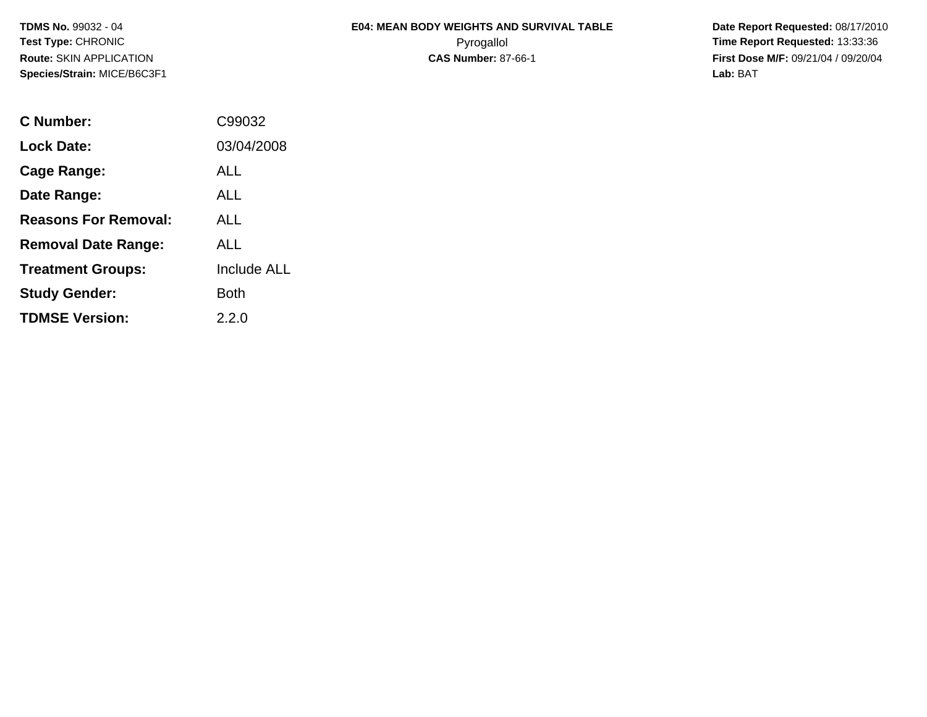|                    | <b>E04: MEAN BODY WEIGHTS AND SURVIVAL TABLE</b> |
|--------------------|--------------------------------------------------|
| ⌒<br>ັ             | Pyrogallol                                       |
| . . <del>. .</del> |                                                  |

 **Date Report Requested:** 08/17/2010 **Time Report Requested: 13:33:36 CAS Number:** 87-66-1 **First Dose M/F:** 09/21/04 / 09/20/04 **Lab:** BAT

| C Number:                   | C99032             |
|-----------------------------|--------------------|
| <b>Lock Date:</b>           | 03/04/2008         |
| Cage Range:                 | ALL                |
| Date Range:                 | AI L               |
| <b>Reasons For Removal:</b> | AI L               |
| <b>Removal Date Range:</b>  | ALL                |
| <b>Treatment Groups:</b>    | <b>Include ALL</b> |
| <b>Study Gender:</b>        | Both               |
| <b>TDMSE Version:</b>       | 2.2.0              |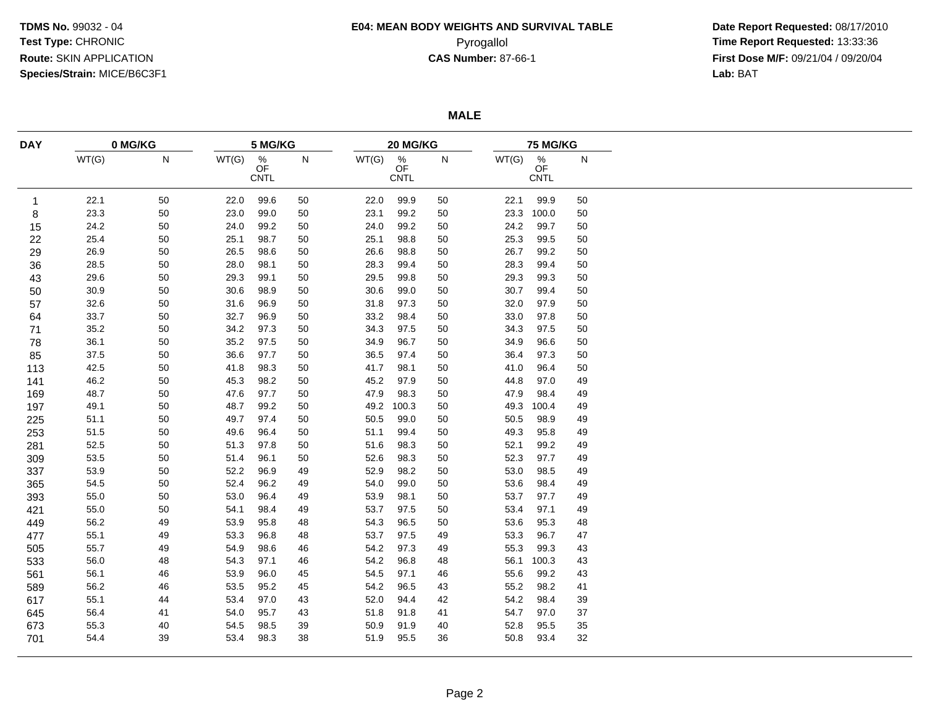# **E04: MEAN BODY WEIGHTS AND SURVIVAL TABLE**

 **Date Report Requested:** 08/17/2010 Pyrogallol **Time Report Requested:** 13:33:36 **First Dose M/F:** 09/21/04 / 09/20/04<br>Lab: BAT **Lab:** BAT

**MALE**

| <b>DAY</b> | 0 MG/KG |    | 5 MG/KG |                                       |        |       | 20 MG/KG                              |    |       | 75 MG/KG                  |    |  |  |
|------------|---------|----|---------|---------------------------------------|--------|-------|---------------------------------------|----|-------|---------------------------|----|--|--|
|            | WT(G)   | N  | WT(G)   | $\frac{\%}{\text{OF}}$<br><b>CNTL</b> | N      | WT(G) | $\frac{\%}{\text{OF}}$<br><b>CNTL</b> | N  | WT(G) | $\%$<br>OF<br><b>CNTL</b> | N  |  |  |
| 1          | 22.1    | 50 | 22.0    | 99.6                                  | 50     | 22.0  | 99.9                                  | 50 | 22.1  | 99.9                      | 50 |  |  |
| 8          | 23.3    | 50 | 23.0    | 99.0                                  | $50\,$ | 23.1  | 99.2                                  | 50 | 23.3  | 100.0                     | 50 |  |  |
| 15         | 24.2    | 50 | 24.0    | 99.2                                  | 50     | 24.0  | 99.2                                  | 50 | 24.2  | 99.7                      | 50 |  |  |
| 22         | 25.4    | 50 | 25.1    | 98.7                                  | 50     | 25.1  | 98.8                                  | 50 | 25.3  | 99.5                      | 50 |  |  |
| 29         | 26.9    | 50 | 26.5    | 98.6                                  | 50     | 26.6  | 98.8                                  | 50 | 26.7  | 99.2                      | 50 |  |  |
| 36         | 28.5    | 50 | 28.0    | 98.1                                  | $50\,$ | 28.3  | 99.4                                  | 50 | 28.3  | 99.4                      | 50 |  |  |
| 43         | 29.6    | 50 | 29.3    | 99.1                                  | 50     | 29.5  | 99.8                                  | 50 | 29.3  | 99.3                      | 50 |  |  |
| 50         | 30.9    | 50 | 30.6    | 98.9                                  | 50     | 30.6  | 99.0                                  | 50 | 30.7  | 99.4                      | 50 |  |  |
| 57         | 32.6    | 50 | 31.6    | 96.9                                  | 50     | 31.8  | 97.3                                  | 50 | 32.0  | 97.9                      | 50 |  |  |
| 64         | 33.7    | 50 | 32.7    | 96.9                                  | 50     | 33.2  | 98.4                                  | 50 | 33.0  | 97.8                      | 50 |  |  |
| 71         | 35.2    | 50 | 34.2    | 97.3                                  | 50     | 34.3  | 97.5                                  | 50 | 34.3  | 97.5                      | 50 |  |  |
| 78         | 36.1    | 50 | 35.2    | 97.5                                  | 50     | 34.9  | 96.7                                  | 50 | 34.9  | 96.6                      | 50 |  |  |
| 85         | 37.5    | 50 | 36.6    | 97.7                                  | 50     | 36.5  | 97.4                                  | 50 | 36.4  | 97.3                      | 50 |  |  |
| 113        | 42.5    | 50 | 41.8    | 98.3                                  | 50     | 41.7  | 98.1                                  | 50 | 41.0  | 96.4                      | 50 |  |  |
| 141        | 46.2    | 50 | 45.3    | 98.2                                  | $50\,$ | 45.2  | 97.9                                  | 50 | 44.8  | 97.0                      | 49 |  |  |
| 169        | 48.7    | 50 | 47.6    | 97.7                                  | 50     | 47.9  | 98.3                                  | 50 | 47.9  | 98.4                      | 49 |  |  |
| 197        | 49.1    | 50 | 48.7    | 99.2                                  | 50     | 49.2  | 100.3                                 | 50 | 49.3  | 100.4                     | 49 |  |  |
| 225        | 51.1    | 50 | 49.7    | 97.4                                  | 50     | 50.5  | 99.0                                  | 50 | 50.5  | 98.9                      | 49 |  |  |
| 253        | 51.5    | 50 | 49.6    | 96.4                                  | 50     | 51.1  | 99.4                                  | 50 | 49.3  | 95.8                      | 49 |  |  |
| 281        | 52.5    | 50 | 51.3    | 97.8                                  | 50     | 51.6  | 98.3                                  | 50 | 52.1  | 99.2                      | 49 |  |  |
| 309        | 53.5    | 50 | 51.4    | 96.1                                  | $50\,$ | 52.6  | 98.3                                  | 50 | 52.3  | 97.7                      | 49 |  |  |
| 337        | 53.9    | 50 | 52.2    | 96.9                                  | 49     | 52.9  | 98.2                                  | 50 | 53.0  | 98.5                      | 49 |  |  |
| 365        | 54.5    | 50 | 52.4    | 96.2                                  | 49     | 54.0  | 99.0                                  | 50 | 53.6  | 98.4                      | 49 |  |  |
| 393        | 55.0    | 50 | 53.0    | 96.4                                  | 49     | 53.9  | 98.1                                  | 50 | 53.7  | 97.7                      | 49 |  |  |
| 421        | 55.0    | 50 | 54.1    | 98.4                                  | 49     | 53.7  | 97.5                                  | 50 | 53.4  | 97.1                      | 49 |  |  |
| 449        | 56.2    | 49 | 53.9    | 95.8                                  | 48     | 54.3  | 96.5                                  | 50 | 53.6  | 95.3                      | 48 |  |  |
| 477        | 55.1    | 49 | 53.3    | 96.8                                  | 48     | 53.7  | 97.5                                  | 49 | 53.3  | 96.7                      | 47 |  |  |
| 505        | 55.7    | 49 | 54.9    | 98.6                                  | 46     | 54.2  | 97.3                                  | 49 | 55.3  | 99.3                      | 43 |  |  |
| 533        | 56.0    | 48 | 54.3    | 97.1                                  | 46     | 54.2  | 96.8                                  | 48 | 56.1  | 100.3                     | 43 |  |  |
| 561        | 56.1    | 46 | 53.9    | 96.0                                  | 45     | 54.5  | 97.1                                  | 46 | 55.6  | 99.2                      | 43 |  |  |
| 589        | 56.2    | 46 | 53.5    | 95.2                                  | 45     | 54.2  | 96.5                                  | 43 | 55.2  | 98.2                      | 41 |  |  |
| 617        | 55.1    | 44 | 53.4    | 97.0                                  | 43     | 52.0  | 94.4                                  | 42 | 54.2  | 98.4                      | 39 |  |  |
| 645        | 56.4    | 41 | 54.0    | 95.7                                  | 43     | 51.8  | 91.8                                  | 41 | 54.7  | 97.0                      | 37 |  |  |
| 673        | 55.3    | 40 | 54.5    | 98.5                                  | 39     | 50.9  | 91.9                                  | 40 | 52.8  | 95.5                      | 35 |  |  |
| 701        | 54.4    | 39 | 53.4    | 98.3                                  | 38     | 51.9  | 95.5                                  | 36 | 50.8  | 93.4                      | 32 |  |  |
|            |         |    |         |                                       |        |       |                                       |    |       |                           |    |  |  |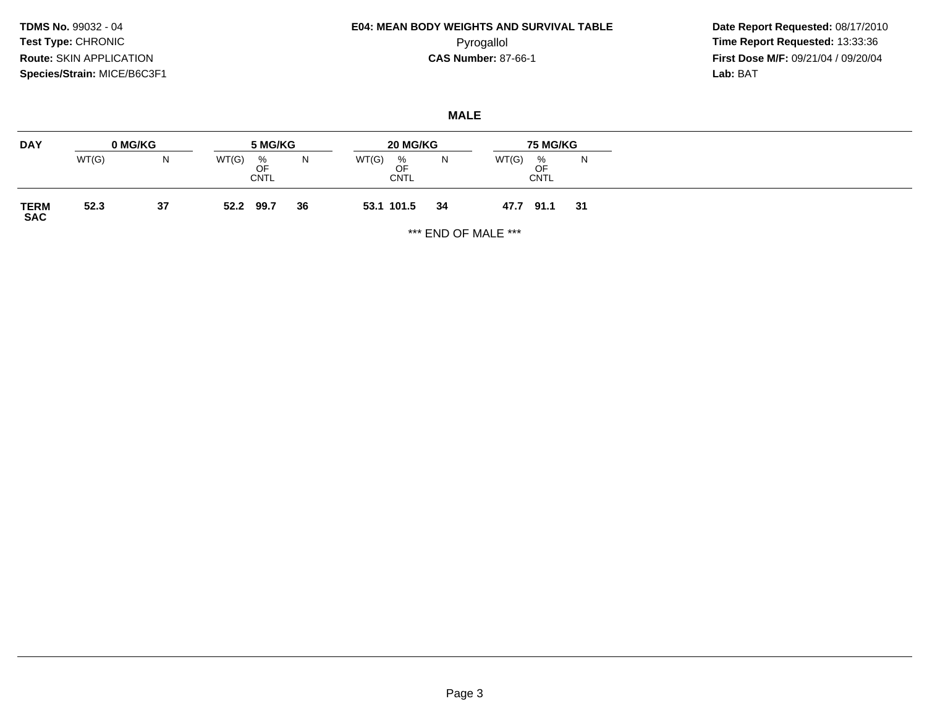## **E04: MEAN BODY WEIGHTS AND SURVIVAL TABLE**Pyrogallol **Time Report Requested:** 13:33:36

 **Date Report Requested:** 08/17/2010 **First Dose M/F:** 09/21/04 / 09/20/04<br>Lab: BAT **Lab:** BAT

### **MALE**

| <b>DAY</b>          | 0 MG/KG |    | 5 MG/KG                         |    | 20 MG/KG                    | <b>75 MG/KG</b> |       |                        |    |
|---------------------|---------|----|---------------------------------|----|-----------------------------|-----------------|-------|------------------------|----|
|                     | WT(G)   | N  | WT(G)<br>%<br>OF<br><b>CNTL</b> | N  | WT(G)<br>$\%$<br>OF<br>CNTL | N               | WT(G) | %<br>OF<br><b>CNTL</b> | N  |
| <b>TERM<br/>SAC</b> | 52.3    | 37 | 99.7<br>52.2                    | 36 | 53.1 101.5                  | 34              | 47.7  | 91.1                   | 31 |

\*\*\* END OF MALE \*\*\*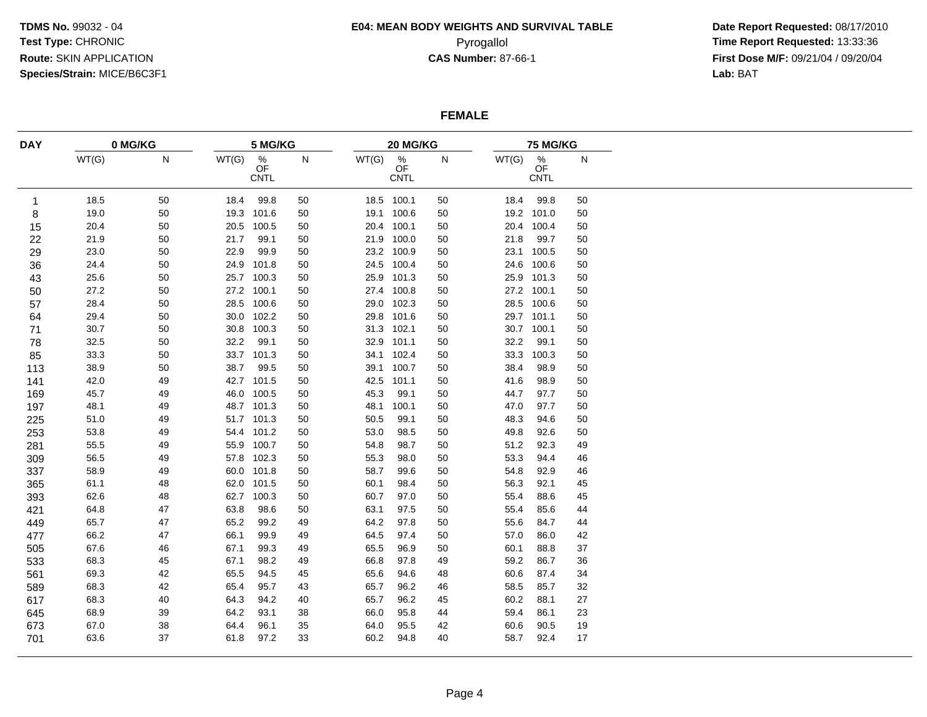## **E04: MEAN BODY WEIGHTS AND SURVIVAL TABLE**

 **Date Report Requested:** 08/17/2010 Pyrogallol **Time Report Requested:** 13:33:36 **First Dose M/F:** 09/21/04 / 09/20/04<br>Lab: BAT **Lab:** BAT

### **FEMALE**

| <b>DAY</b> | 0 MG/KG |           | 5 MG/KG |                                       |           |       | 20 MG/KG           |           |       | 75 MG/KG                       |              |  |  |
|------------|---------|-----------|---------|---------------------------------------|-----------|-------|--------------------|-----------|-------|--------------------------------|--------------|--|--|
|            | WT(G)   | ${\sf N}$ | WT(G)   | $\frac{\%}{\text{OF}}$<br><b>CNTL</b> | ${\sf N}$ | WT(G) | $\%$<br>OF<br>CNTL | ${\sf N}$ | WT(G) | $\frac{\%}{\text{OF}}$<br>CNTL | $\mathsf{N}$ |  |  |
| 1          | 18.5    | 50        | 18.4    | 99.8                                  | 50        |       | 18.5 100.1         | 50        | 18.4  | 99.8                           | 50           |  |  |
| 8          | 19.0    | 50        |         | 19.3 101.6                            | 50        |       | 19.1 100.6         | 50        | 19.2  | 101.0                          | 50           |  |  |
| 15         | 20.4    | 50        | 20.5    | 100.5                                 | 50        |       | 20.4 100.1         | 50        | 20.4  | 100.4                          | 50           |  |  |
| 22         | 21.9    | 50        | 21.7    | 99.1                                  | 50        | 21.9  | 100.0              | 50        | 21.8  | 99.7                           | 50           |  |  |
| 29         | 23.0    | 50        | 22.9    | 99.9                                  | 50        |       | 23.2 100.9         | 50        | 23.1  | 100.5                          | 50           |  |  |
| 36         | 24.4    | 50        |         | 24.9 101.8                            | 50        |       | 24.5 100.4         | 50        | 24.6  | 100.6                          | 50           |  |  |
| 43         | 25.6    | 50        |         | 25.7 100.3                            | 50        |       | 25.9 101.3         | 50        | 25.9  | 101.3                          | 50           |  |  |
| 50         | 27.2    | 50        |         | 27.2 100.1                            | 50        |       | 27.4 100.8         | 50        | 27.2  | 100.1                          | 50           |  |  |
| 57         | 28.4    | 50        |         | 28.5 100.6                            | 50        |       | 29.0 102.3         | 50        | 28.5  | 100.6                          | 50           |  |  |
| 64         | 29.4    | $50\,$    |         | 30.0 102.2                            | 50        |       | 29.8 101.6         | 50        | 29.7  | 101.1                          | 50           |  |  |
| 71         | 30.7    | $50\,$    | 30.8    | 100.3                                 | 50        |       | 31.3 102.1         | 50        | 30.7  | 100.1                          | 50           |  |  |
| 78         | 32.5    | 50        | 32.2    | 99.1                                  | 50        | 32.9  | 101.1              | 50        | 32.2  | 99.1                           | 50           |  |  |
| 85         | 33.3    | 50        |         | 33.7 101.3                            | 50        |       | 34.1 102.4         | 50        | 33.3  | 100.3                          | 50           |  |  |
| 113        | 38.9    | 50        | 38.7    | 99.5                                  | 50        |       | 39.1 100.7         | 50        | 38.4  | 98.9                           | 50           |  |  |
| 141        | 42.0    | 49        |         | 42.7 101.5                            | 50        | 42.5  | 101.1              | 50        | 41.6  | 98.9                           | 50           |  |  |
| 169        | 45.7    | 49        |         | 46.0 100.5                            | 50        | 45.3  | 99.1               | 50        | 44.7  | 97.7                           | 50           |  |  |
| 197        | 48.1    | 49        |         | 48.7 101.3                            | 50        | 48.1  | 100.1              | 50        | 47.0  | 97.7                           | 50           |  |  |
| 225        | 51.0    | 49        |         | 51.7 101.3                            | 50        | 50.5  | 99.1               | 50        | 48.3  | 94.6                           | 50           |  |  |
| 253        | 53.8    | 49        |         | 54.4 101.2                            | 50        | 53.0  | 98.5               | 50        | 49.8  | 92.6                           | 50           |  |  |
| 281        | 55.5    | 49        |         | 55.9 100.7                            | 50        | 54.8  | 98.7               | 50        | 51.2  | 92.3                           | 49           |  |  |
| 309        | 56.5    | 49        |         | 57.8 102.3                            | 50        | 55.3  | 98.0               | 50        | 53.3  | 94.4                           | 46           |  |  |
| 337        | 58.9    | 49        |         | 60.0 101.8                            | 50        | 58.7  | 99.6               | 50        | 54.8  | 92.9                           | 46           |  |  |
| 365        | 61.1    | 48        |         | 62.0 101.5                            | 50        | 60.1  | 98.4               | 50        | 56.3  | 92.1                           | 45           |  |  |
| 393        | 62.6    | 48        | 62.7    | 100.3                                 | 50        | 60.7  | 97.0               | 50        | 55.4  | 88.6                           | 45           |  |  |
| 421        | 64.8    | 47        | 63.8    | 98.6                                  | 50        | 63.1  | 97.5               | 50        | 55.4  | 85.6                           | 44           |  |  |
| 449        | 65.7    | 47        | 65.2    | 99.2                                  | 49        | 64.2  | 97.8               | 50        | 55.6  | 84.7                           | 44           |  |  |
| 477        | 66.2    | 47        | 66.1    | 99.9                                  | 49        | 64.5  | 97.4               | 50        | 57.0  | 86.0                           | 42           |  |  |
| 505        | 67.6    | 46        | 67.1    | 99.3                                  | 49        | 65.5  | 96.9               | 50        | 60.1  | 88.8                           | 37           |  |  |
| 533        | 68.3    | 45        | 67.1    | 98.2                                  | 49        | 66.8  | 97.8               | 49        | 59.2  | 86.7                           | 36           |  |  |
| 561        | 69.3    | 42        | 65.5    | 94.5                                  | 45        | 65.6  | 94.6               | 48        | 60.6  | 87.4                           | 34           |  |  |
| 589        | 68.3    | 42        | 65.4    | 95.7                                  | 43        | 65.7  | 96.2               | 46        | 58.5  | 85.7                           | 32           |  |  |
| 617        | 68.3    | 40        | 64.3    | 94.2                                  | 40        | 65.7  | 96.2               | 45        | 60.2  | 88.1                           | 27           |  |  |
| 645        | 68.9    | 39        | 64.2    | 93.1                                  | 38        | 66.0  | 95.8               | 44        | 59.4  | 86.1                           | 23           |  |  |
| 673        | 67.0    | 38        | 64.4    | 96.1                                  | 35        | 64.0  | 95.5               | 42        | 60.6  | 90.5                           | 19           |  |  |
| 701        | 63.6    | 37        | 61.8    | 97.2                                  | 33        | 60.2  | 94.8               | 40        | 58.7  | 92.4                           | 17           |  |  |
|            |         |           |         |                                       |           |       |                    |           |       |                                |              |  |  |